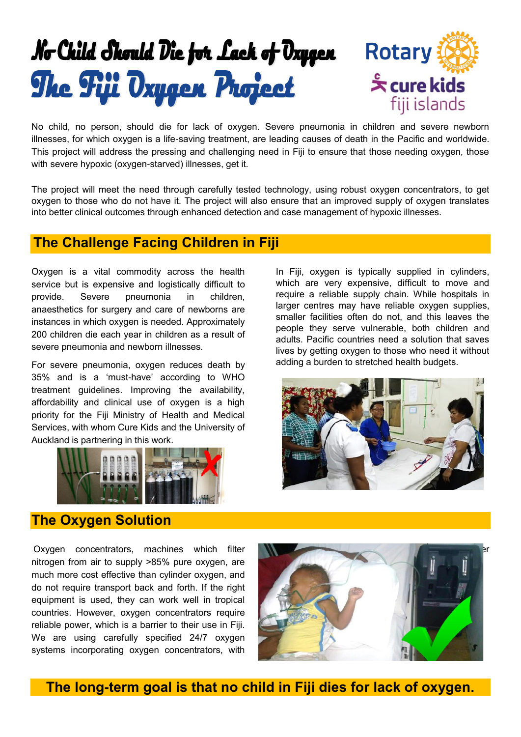

No child, no person, should die for lack of oxygen. Severe pneumonia in children and severe newborn illnesses, for which oxygen is a life-saving treatment, are leading causes of death in the Pacific and worldwide. This project will address the pressing and challenging need in Fiji to ensure that those needing oxygen, those with severe hypoxic (oxygen-starved) illnesses, get it.

The project will meet the need through carefully tested technology, using robust oxygen concentrators, to get oxygen to those who do not have it. The project will also ensure that an improved supply of oxygen translates into better clinical outcomes through enhanced detection and case management of hypoxic illnesses.

## **The Challenge Facing Children in Fiji**

Oxygen is a vital commodity across the health service but is expensive and logistically difficult to provide. Severe pneumonia in children, anaesthetics for surgery and care of newborns are instances in which oxygen is needed. Approximately 200 children die each year in children as a result of severe pneumonia and newborn illnesses.

For severe pneumonia, oxygen reduces death by 35% and is a 'must-have' according to WHO treatment guidelines. Improving the availability, affordability and clinical use of oxygen is a high priority for the Fiji Ministry of Health and Medical Services, with whom Cure Kids and the University of Auckland is partnering in this work.



In Fiji, oxygen is typically supplied in cylinders, which are very expensive, difficult to move and require a reliable supply chain. While hospitals in larger centres may have reliable oxygen supplies, smaller facilities often do not, and this leaves the people they serve vulnerable, both children and adults. Pacific countries need a solution that saves lives by getting oxygen to those who need it without adding a burden to stretched health budgets.



#### **The Oxygen Solution**

Oxygen concentrators, machines which filter nitrogen from air to supply >85% pure oxygen, are much more cost effective than cylinder oxygen, and do not require transport back and forth. If the right equipment is used, they can work well in tropical countries. However, oxygen concentrators require reliable power, which is a barrier to their use in Fiji. We are using carefully specified 24/7 oxygen systems incorporating oxygen concentrators, with



**The long-term goal is that no child in Fiji dies for lack of oxygen.**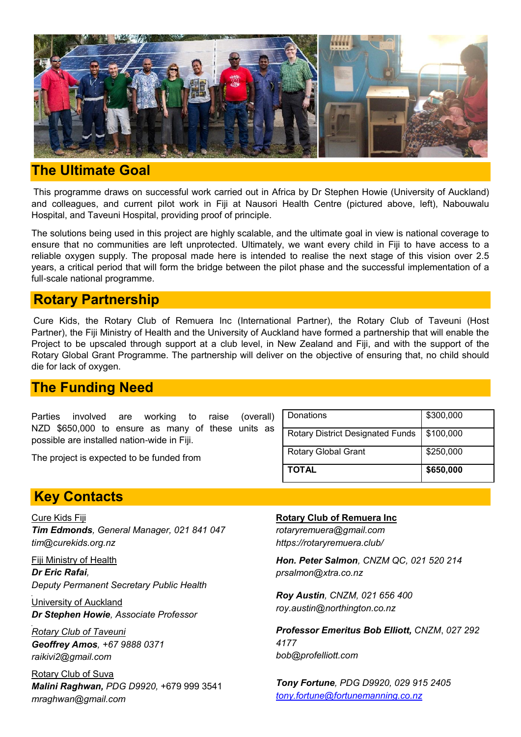

# **The Ultimate Goal**

This programme draws on successful work carried out in Africa by Dr Stephen Howie (University of Auckland) and colleagues, and current pilot work in Fiji at Nausori Health Centre (pictured above, left), Nabouwalu Hospital, and Taveuni Hospital, providing proof of principle.

The solutions being used in this project are highly scalable, and the ultimate goal in view is national coverage to ensure that no communities are left unprotected. Ultimately, we want every child in Fiji to have access to a reliable oxygen supply. The proposal made here is intended to realise the next stage of this vision over 2.5 years, a critical period that will form the bridge between the pilot phase and the successful implementation of a full-scale national programme.

### **Rotary Partnership**

Cure Kids, the Rotary Club of Remuera Inc (International Partner), the Rotary Club of Taveuni (Host Partner), the Fiji Ministry of Health and the University of Auckland have formed a partnership that will enable the Project to be upscaled through support at a club level, in New Zealand and Fiji, and with the support of the Rotary Global Grant Programme. The partnership will deliver on the objective of ensuring that, no child should die for lack of oxygen.

## **The Funding Need**

Parties involved are working to raise (overall) NZD \$650,000 to ensure as many of these units as possible are installed nation-wide in Fiji.

The project is expected to be funded from

| <b>Rotary Global Grant</b><br><b>TOTAL</b> | \$250,000<br>\$650,000 |
|--------------------------------------------|------------------------|
| <b>Rotary District Designated Funds</b>    | \$100,000              |
| Donations                                  | \$300,000              |

## **Key Contacts**

Cure Kids Fiji *Tim Edmonds, General Manager, 021 841 047 tim@curekids.org.nz*

Fiji Ministry of Health *Dr Eric Rafai, Deputy Permanent Secretary Public Health*

University of Auckland *Dr Stephen Howie, Associate Professor*

*Rotary Club of Taveuni Geoffrey Amos, +67 9888 0371 raikivi2@gmail.com*

Rotary Club of Suva *Malini Raghwan, PDG D9920,* +679 999 3541 *mraghwan@gmail.com*

**Rotary Club of Remuera Inc** *rotaryremuera@gmail.com https://rotaryremuera.club/*

*Hon. Peter Salmon, CNZM QC, 021 520 214 prsalmon@xtra.co.nz*

*Roy Austin, CNZM, 021 656 400 roy.austin@northington.co.nz* 

*Professor Emeritus Bob Elliott, CNZM*, *027 292 4177 bob@profelliott.com* 

*Tony Fortune, PDG D9920, 029 915 2405 [tony.fortune@fortunemanning.co.nz](mailto:tony.fortune@fortunemanning.co.nz)*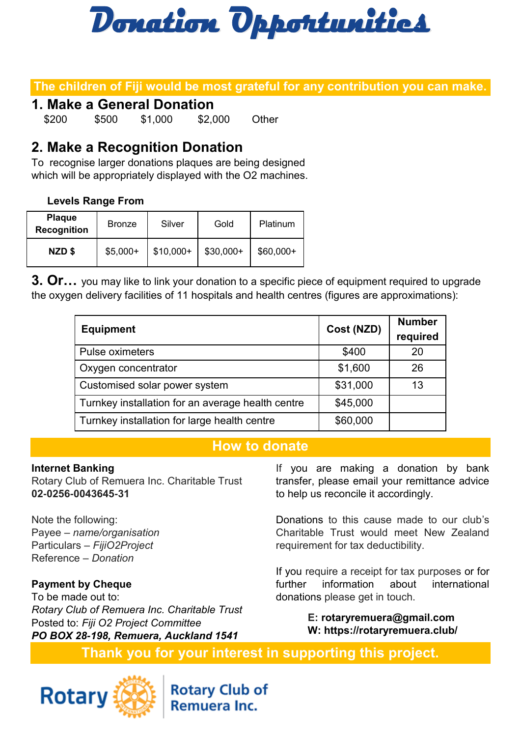

### **The children of Fiji would be most grateful for any contribution you can make.**

### **1. Make a General Donation**

\$200 \$500 \$1,000 \$2,000 Other

# **2. Make a Recognition Donation**

To recognise larger donations plaques are being designed which will be appropriately displayed with the O2 machines.

#### **Levels Range From**

| <b>Plaque</b><br><b>Recognition</b> | <b>Bronze</b> | Silver     | Gold       | Platinum   |
|-------------------------------------|---------------|------------|------------|------------|
| NZD\$                               | $$5,000+$     | $$10,000+$ | $$30,000+$ | $$60,000+$ |

**3. Or…** you may like to link your donation to a specific piece of equipment required to upgrade the oxygen delivery facilities of 11 hospitals and health centres (figures are approximations):

| <b>Equipment</b>                                  | Cost (NZD) | <b>Number</b><br>required |
|---------------------------------------------------|------------|---------------------------|
| Pulse oximeters                                   | \$400      | 20                        |
| Oxygen concentrator                               | \$1,600    | 26                        |
| Customised solar power system                     | \$31,000   | 13                        |
| Turnkey installation for an average health centre | \$45,000   |                           |
| Turnkey installation for large health centre      | \$60,000   |                           |

#### **How to donate**

#### **Internet Banking**

Rotary Club of Remuera Inc. Charitable Trust **02-0256-0043645-31**

Note the following: Payee – *name/organisation* Particulars – *FijiO2Project* Reference – *Donation*

#### **Payment by Cheque**

To be made out to: *Rotary Club of Remuera Inc. Charitable Trust* Posted to: *Fiji O2 Project Committee PO BOX 28-198, Remuera, Auckland 1541*

If you are making a donation by bank transfer, please email your remittance advice to help us reconcile it accordingly.

Donations to this cause made to our club's Charitable Trust would meet New Zealand requirement for tax deductibility.

If you require a receipt for tax purposes or for further information about international donations please get in touch.

> **E: rotaryremuera@gmail.com W: https://rotaryremuera.club/**

**Thank you for your interest in supporting this project.**



**Rotary Club of** Remuera Inc.